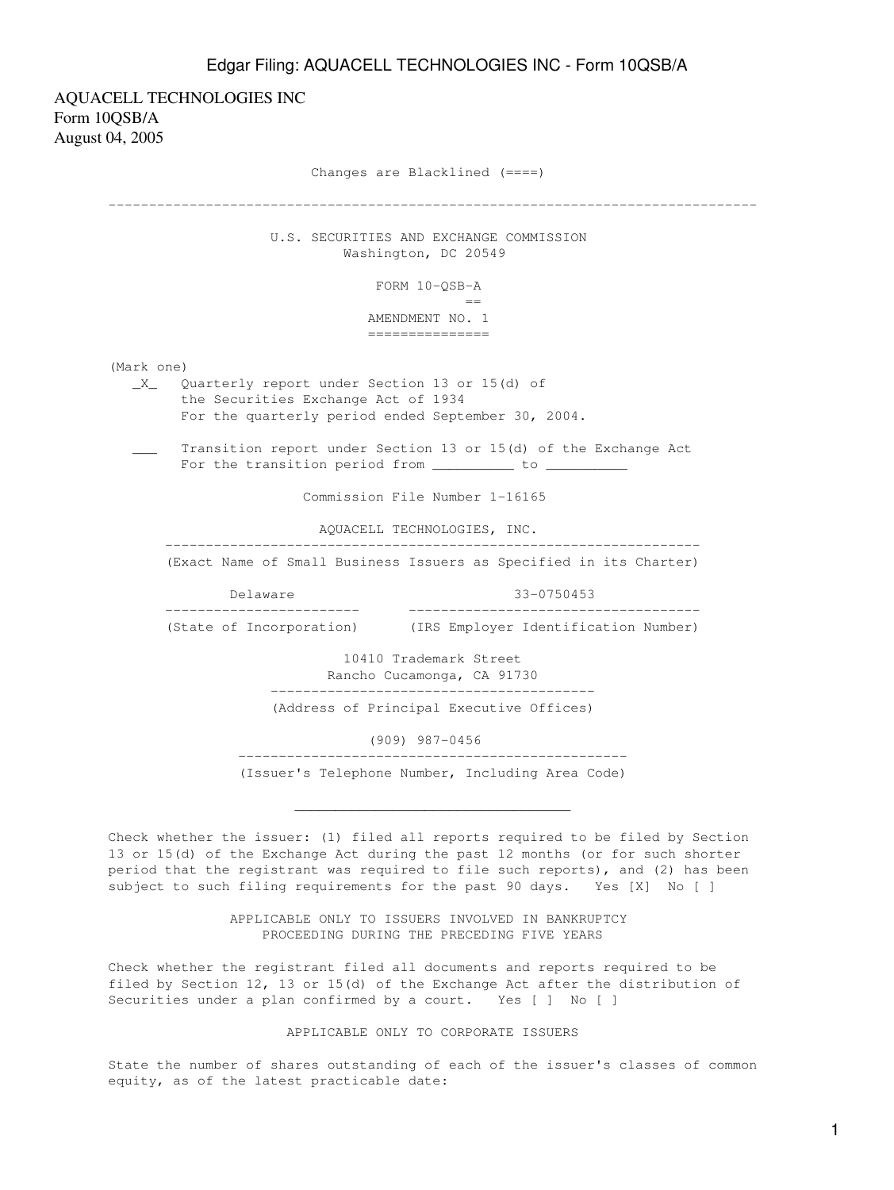## Edgar Filing: AQUACELL TECHNOLOGIES INC - Form 10QSB/A

AQUACELL TECHNOLOGIES INC Form 10QSB/A August 04, 2005 Changes are Blacklined (====) -------------------------------------------------------------------------------- U.S. SECURITIES AND EXCHANGE COMMISSION Washington, DC 20549 FORM 10-QSB-A en de la construction de la construction de la construction de la construction de la construction de la constr<br>La construction de la construction de la construction de la construction de la construction de la construction AMENDMENT NO. 1 =============== (Mark one) \_X\_ Quarterly report under Section 13 or 15(d) of the Securities Exchange Act of 1934 For the quarterly period ended September 30, 2004. Transition report under Section 13 or 15(d) of the Exchange Act For the transition period from \_\_\_\_\_\_\_\_\_\_ to \_

Commission File Number 1-16165

AQUACELL TECHNOLOGIES, INC.

 ------------------------------------------------------------------ (Exact Name of Small Business Issuers as Specified in its Charter)

 Delaware 33-0750453 ------------------------ ------------------------------------

(State of Incorporation) (IRS Employer Identification Number)

 10410 Trademark Street Rancho Cucamonga, CA 91730 ----------------------------------------

(Address of Principal Executive Offices)

(909) 987-0456

 ------------------------------------------------ (Issuer's Telephone Number, Including Area Code)

 $\overline{\phantom{a}}$  ,  $\overline{\phantom{a}}$  ,  $\overline{\phantom{a}}$  ,  $\overline{\phantom{a}}$  ,  $\overline{\phantom{a}}$  ,  $\overline{\phantom{a}}$  ,  $\overline{\phantom{a}}$  ,  $\overline{\phantom{a}}$  ,  $\overline{\phantom{a}}$  ,  $\overline{\phantom{a}}$  ,  $\overline{\phantom{a}}$  ,  $\overline{\phantom{a}}$  ,  $\overline{\phantom{a}}$  ,  $\overline{\phantom{a}}$  ,  $\overline{\phantom{a}}$  ,  $\overline{\phantom{a}}$ 

Check whether the issuer: (1) filed all reports required to be filed by Section 13 or 15(d) of the Exchange Act during the past 12 months (or for such shorter period that the registrant was required to file such reports), and (2) has been subject to such filing requirements for the past 90 days. Yes [X] No [ ]

> APPLICABLE ONLY TO ISSUERS INVOLVED IN BANKRUPTCY PROCEEDING DURING THE PRECEDING FIVE YEARS

Check whether the registrant filed all documents and reports required to be filed by Section 12, 13 or 15(d) of the Exchange Act after the distribution of Securities under a plan confirmed by a court. Yes [ ] No [ ]

## APPLICABLE ONLY TO CORPORATE ISSUERS

State the number of shares outstanding of each of the issuer's classes of common equity, as of the latest practicable date: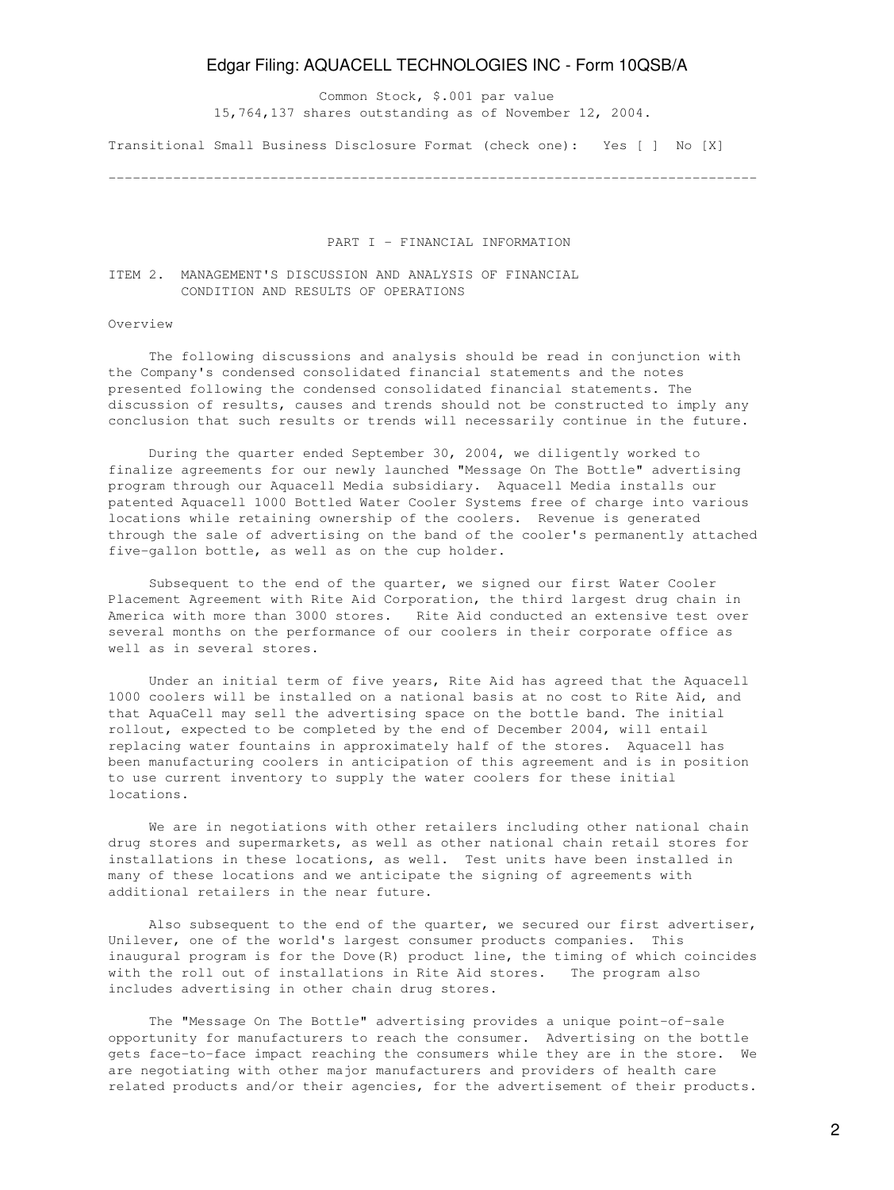## Edgar Filing: AQUACELL TECHNOLOGIES INC - Form 10QSB/A

 Common Stock, \$.001 par value 15,764,137 shares outstanding as of November 12, 2004.

Transitional Small Business Disclosure Format (check one): Yes [ ] No [X]

--------------------------------------------------------------------------------

### PART I - FINANCIAL INFORMATION

## ITEM 2. MANAGEMENT'S DISCUSSION AND ANALYSIS OF FINANCIAL CONDITION AND RESULTS OF OPERATIONS

#### Overview

 The following discussions and analysis should be read in conjunction with the Company's condensed consolidated financial statements and the notes presented following the condensed consolidated financial statements. The discussion of results, causes and trends should not be constructed to imply any conclusion that such results or trends will necessarily continue in the future.

 During the quarter ended September 30, 2004, we diligently worked to finalize agreements for our newly launched "Message On The Bottle" advertising program through our Aquacell Media subsidiary. Aquacell Media installs our patented Aquacell 1000 Bottled Water Cooler Systems free of charge into various locations while retaining ownership of the coolers. Revenue is generated through the sale of advertising on the band of the cooler's permanently attached five-gallon bottle, as well as on the cup holder.

 Subsequent to the end of the quarter, we signed our first Water Cooler Placement Agreement with Rite Aid Corporation, the third largest drug chain in America with more than 3000 stores. Rite Aid conducted an extensive test over several months on the performance of our coolers in their corporate office as well as in several stores.

 Under an initial term of five years, Rite Aid has agreed that the Aquacell 1000 coolers will be installed on a national basis at no cost to Rite Aid, and that AquaCell may sell the advertising space on the bottle band. The initial rollout, expected to be completed by the end of December 2004, will entail replacing water fountains in approximately half of the stores. Aquacell has been manufacturing coolers in anticipation of this agreement and is in position to use current inventory to supply the water coolers for these initial locations.

 We are in negotiations with other retailers including other national chain drug stores and supermarkets, as well as other national chain retail stores for installations in these locations, as well. Test units have been installed in many of these locations and we anticipate the signing of agreements with additional retailers in the near future.

 Also subsequent to the end of the quarter, we secured our first advertiser, Unilever, one of the world's largest consumer products companies. This inaugural program is for the Dove(R) product line, the timing of which coincides with the roll out of installations in Rite Aid stores. The program also includes advertising in other chain drug stores.

 The "Message On The Bottle" advertising provides a unique point-of-sale opportunity for manufacturers to reach the consumer. Advertising on the bottle gets face-to-face impact reaching the consumers while they are in the store. We are negotiating with other major manufacturers and providers of health care related products and/or their agencies, for the advertisement of their products.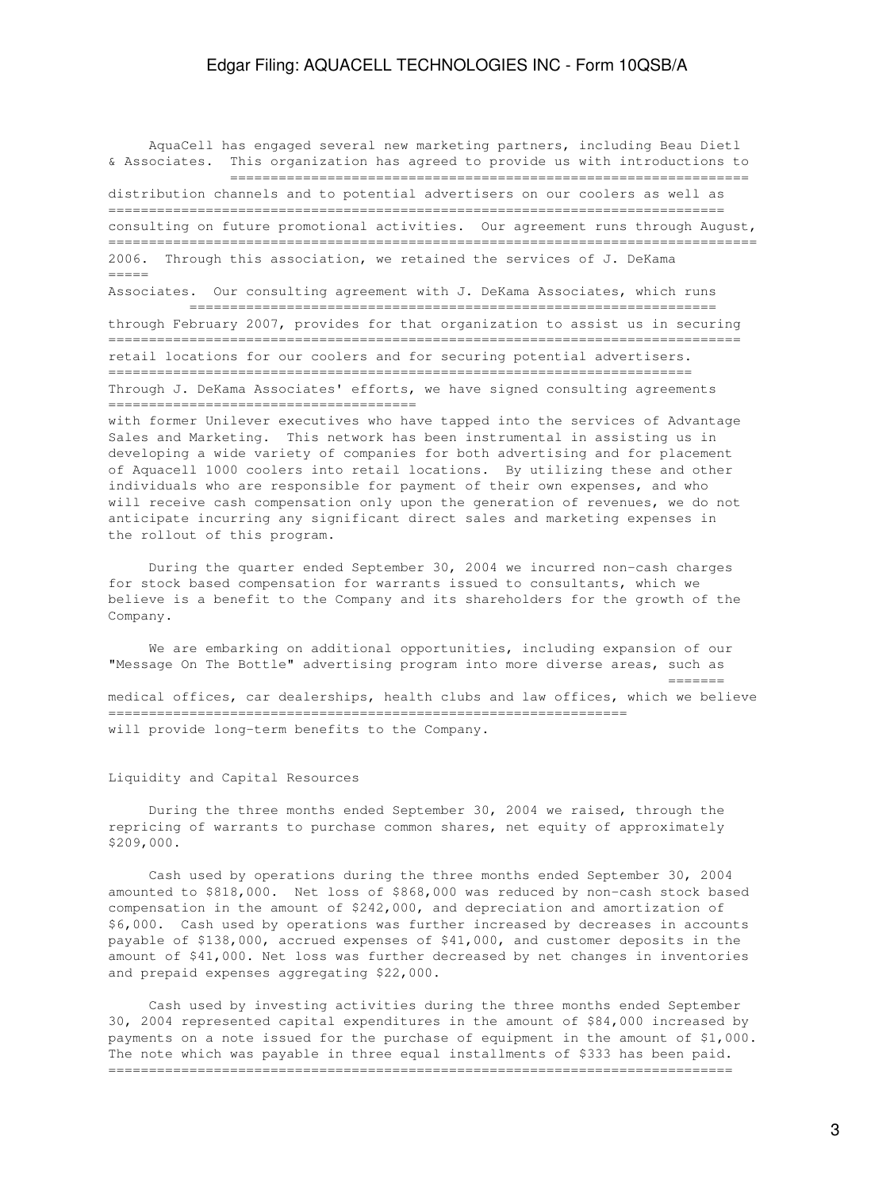AquaCell has engaged several new marketing partners, including Beau Dietl & Associates. This organization has agreed to provide us with introductions to ================================================================

distribution channels and to potential advertisers on our coolers as well as ============================================================================ consulting on future promotional activities. Our agreement runs through August, ================================================================================ 2006. Through this association, we retained the services of J. DeKama =====

Associates. Our consulting agreement with J. DeKama Associates, which runs ================================================================= through February 2007, provides for that organization to assist us in securing ============================================================================== retail locations for our coolers and for securing potential advertisers. ======================================================================== Through J. DeKama Associates' efforts, we have signed consulting agreements

======================================

with former Unilever executives who have tapped into the services of Advantage Sales and Marketing. This network has been instrumental in assisting us in developing a wide variety of companies for both advertising and for placement of Aquacell 1000 coolers into retail locations. By utilizing these and other individuals who are responsible for payment of their own expenses, and who will receive cash compensation only upon the generation of revenues, we do not anticipate incurring any significant direct sales and marketing expenses in the rollout of this program.

 During the quarter ended September 30, 2004 we incurred non-cash charges for stock based compensation for warrants issued to consultants, which we believe is a benefit to the Company and its shareholders for the growth of the Company.

 We are embarking on additional opportunities, including expansion of our "Message On The Bottle" advertising program into more diverse areas, such as ======= medical offices, car dealerships, health clubs and law offices, which we believe ================================================================ will provide long-term benefits to the Company.

#### Liquidity and Capital Resources

 During the three months ended September 30, 2004 we raised, through the repricing of warrants to purchase common shares, net equity of approximately \$209,000.

 Cash used by operations during the three months ended September 30, 2004 amounted to \$818,000. Net loss of \$868,000 was reduced by non-cash stock based compensation in the amount of \$242,000, and depreciation and amortization of \$6,000. Cash used by operations was further increased by decreases in accounts payable of \$138,000, accrued expenses of \$41,000, and customer deposits in the amount of \$41,000. Net loss was further decreased by net changes in inventories and prepaid expenses aggregating \$22,000.

 Cash used by investing activities during the three months ended September 30, 2004 represented capital expenditures in the amount of \$84,000 increased by payments on a note issued for the purchase of equipment in the amount of \$1,000. The note which was payable in three equal installments of \$333 has been paid. =============================================================================